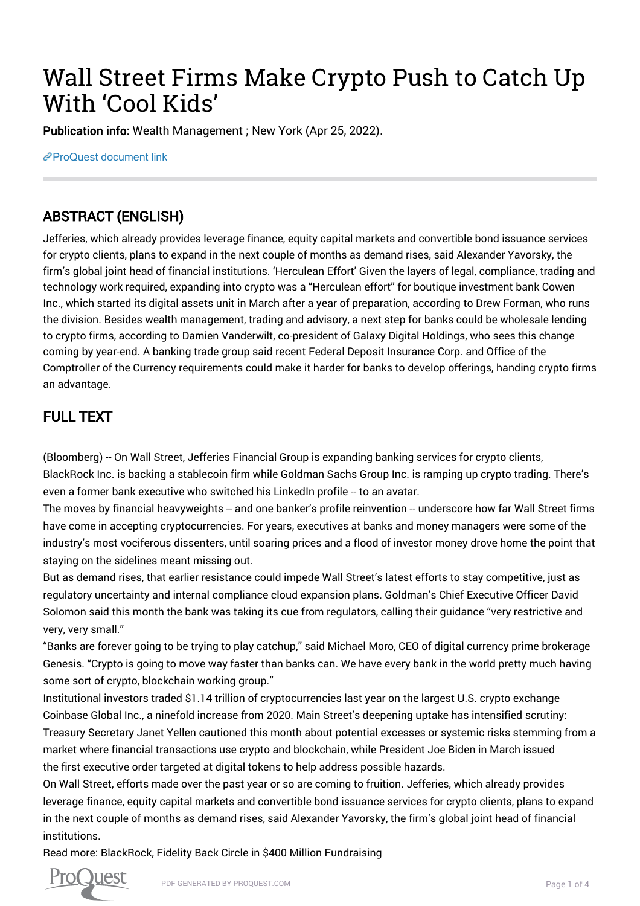# Wall Street Firms Make Crypto Push to Catch Up With 'Cool Kids'

Publication info: Wealth Management ; New York (Apr 25, 2022).

[ProQuest document link](https://www.proquest.com/trade-journals/wall-street-firms-make-crypto-push-catch-up-with/docview/2654387131/se-2?accountid=44910)

## ABSTRACT (ENGLISH)

Jefferies, which already provides leverage finance, equity capital markets and convertible bond issuance services for crypto clients, plans to expand in the next couple of months as demand rises, said Alexander Yavorsky, the firm's global joint head of financial institutions. 'Herculean Effort' Given the layers of legal, compliance, trading and technology work required, expanding into crypto was a "Herculean effort" for boutique investment bank Cowen Inc., which started its digital assets unit in March after a year of preparation, according to Drew Forman, who runs the division. Besides wealth management, trading and advisory, a next step for banks could be wholesale lending to crypto firms, according to Damien Vanderwilt, co-president of Galaxy Digital Holdings, who sees this change coming by year-end. A banking trade group said recent Federal Deposit Insurance Corp. and Office of the Comptroller of the Currency requirements could make it harder for banks to develop offerings, handing crypto firms an advantage.

## FULL TEXT

(Bloomberg) -- On Wall Street, Jefferies Financial Group is expanding banking services for crypto clients, BlackRock Inc. is backing a stablecoin firm while Goldman Sachs Group Inc. is ramping up crypto trading. There's even a former bank executive who switched his LinkedIn profile -- to an avatar.

The moves by financial heavyweights -- and one banker's profile reinvention -- underscore how far Wall Street firms have come in accepting cryptocurrencies. For years, executives at banks and money managers were some of the industry's most vociferous dissenters, until soaring prices and a flood of investor money drove home the point that staying on the sidelines meant missing out.

But as demand rises, that earlier resistance could impede Wall Street's latest efforts to stay competitive, just as regulatory uncertainty and internal compliance cloud expansion plans. Goldman's Chief Executive Officer David Solomon said this month the bank was taking its cue from regulators, calling their guidance "very restrictive and very, very small."

"Banks are forever going to be trying to play catchup," said Michael Moro, CEO of digital currency prime brokerage Genesis. "Crypto is going to move way faster than banks can. We have every bank in the world pretty much having some sort of crypto, blockchain working group."

Institutional investors traded \$1.14 trillion of cryptocurrencies last year on the largest U.S. crypto exchange Coinbase Global Inc., a ninefold increase from 2020. Main Street's deepening uptake has intensified scrutiny: Treasury Secretary Janet Yellen cautioned this month about potential excesses or systemic risks stemming from a market where financial transactions use crypto and blockchain, while President Joe Biden in March issued the first executive order targeted at digital tokens to help address possible hazards.

On Wall Street, efforts made over the past year or so are coming to fruition. Jefferies, which already provides leverage finance, equity capital markets and convertible bond issuance services for crypto clients, plans to expand in the next couple of months as demand rises, said Alexander Yavorsky, the firm's global joint head of financial institutions.

Read more: BlackRock, Fidelity Back Circle in \$400 Million Fundraising

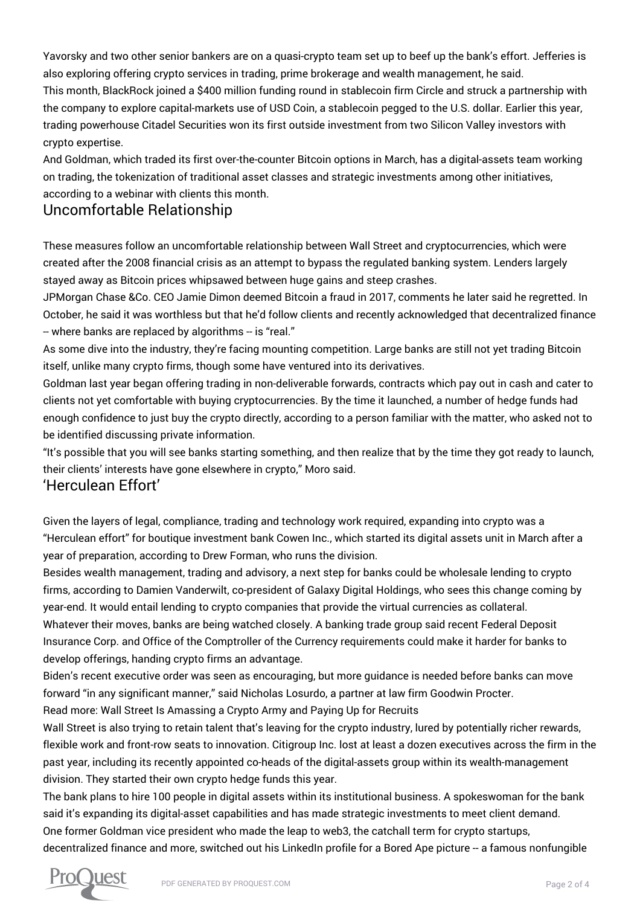Yavorsky and two other senior bankers are on a quasi-crypto team set up to beef up the bank's effort. Jefferies is also exploring offering crypto services in trading, prime brokerage and wealth management, he said. This month, BlackRock joined a \$400 million funding round in stablecoin firm Circle and struck a partnership with the company to explore capital-markets use of USD Coin, a stablecoin pegged to the U.S. dollar. Earlier this year, trading powerhouse Citadel Securities won its first outside investment from two Silicon Valley investors with crypto expertise.

And Goldman, which traded its first over-the-counter Bitcoin options in March, has a digital-assets team working on trading, the tokenization of traditional asset classes and strategic investments among other initiatives, according to a webinar with clients this month.

#### Uncomfortable Relationship

These measures follow an uncomfortable relationship between Wall Street and cryptocurrencies, which were created after the 2008 financial crisis as an attempt to bypass the regulated banking system. Lenders largely stayed away as Bitcoin prices whipsawed between huge gains and steep crashes.

JPMorgan Chase &Co. CEO Jamie Dimon deemed Bitcoin a fraud in 2017, comments he later said he regretted. In October, he said it was worthless but that he'd follow clients and recently acknowledged that decentralized finance - where banks are replaced by algorithms -- is "real."

As some dive into the industry, they're facing mounting competition. Large banks are still not yet trading Bitcoin itself, unlike many crypto firms, though some have ventured into its derivatives.

Goldman last year began offering trading in non-deliverable forwards, contracts which pay out in cash and cater to clients not yet comfortable with buying cryptocurrencies. By the time it launched, a number of hedge funds had enough confidence to just buy the crypto directly, according to a person familiar with the matter, who asked not to be identified discussing private information.

"It's possible that you will see banks starting something, and then realize that by the time they got ready to launch, their clients' interests have gone elsewhere in crypto," Moro said.

#### 'Herculean Effort'

Given the layers of legal, compliance, trading and technology work required, expanding into crypto was a "Herculean effort" for boutique investment bank Cowen Inc., which started its digital assets unit in March after a year of preparation, according to Drew Forman, who runs the division.

Besides wealth management, trading and advisory, a next step for banks could be wholesale lending to crypto firms, according to Damien Vanderwilt, co-president of Galaxy Digital Holdings, who sees this change coming by year-end. It would entail lending to crypto companies that provide the virtual currencies as collateral.

Whatever their moves, banks are being watched closely. A banking trade group said recent Federal Deposit Insurance Corp. and Office of the Comptroller of the Currency requirements could make it harder for banks to develop offerings, handing crypto firms an advantage.

Biden's recent executive order was seen as encouraging, but more guidance is needed before banks can move forward "in any significant manner," said Nicholas Losurdo, a partner at law firm Goodwin Procter.

Read more: Wall Street Is Amassing a Crypto Army and Paying Up for Recruits

Wall Street is also trying to retain talent that's leaving for the crypto industry, lured by potentially richer rewards, flexible work and front-row seats to innovation. Citigroup Inc. lost at least a dozen executives across the firm in the past year, including its recently appointed co-heads of the digital-assets group within its wealth-management division. They started their own crypto hedge funds this year.

The bank plans to hire 100 people in digital assets within its institutional business. A spokeswoman for the bank said it's expanding its digital-asset capabilities and has made strategic investments to meet client demand. One former Goldman vice president who made the leap to web3, the catchall term for crypto startups, decentralized finance and more, switched out his LinkedIn profile for a Bored Ape picture -- a famous nonfungible

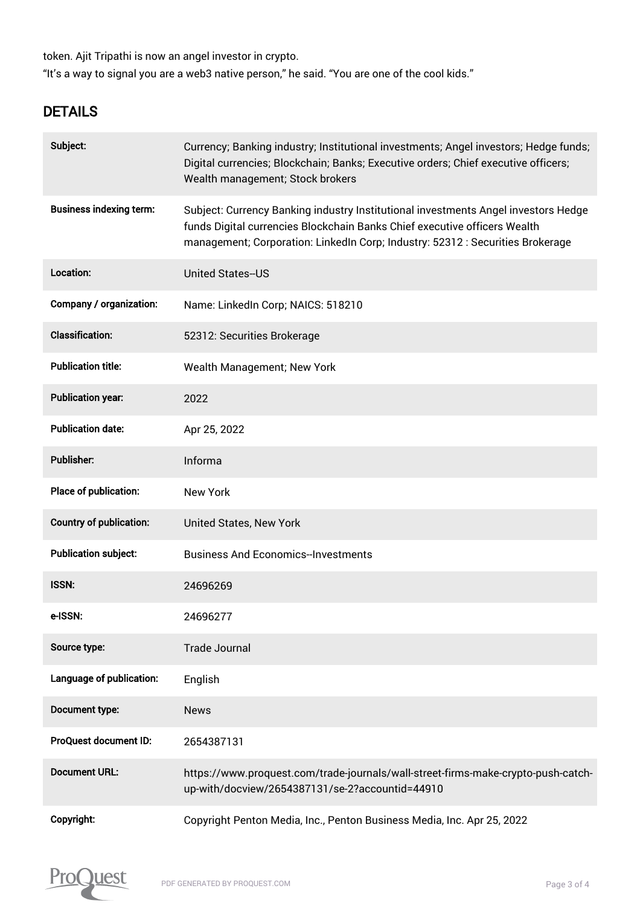token. Ajit Tripathi is now an angel investor in crypto. "It's a way to signal you are a web3 native person," he said. "You are one of the cool kids."

## **DETAILS**

| Subject:                       | Currency; Banking industry; Institutional investments; Angel investors; Hedge funds;<br>Digital currencies; Blockchain; Banks; Executive orders; Chief executive officers;<br>Wealth management; Stock brokers                                    |
|--------------------------------|---------------------------------------------------------------------------------------------------------------------------------------------------------------------------------------------------------------------------------------------------|
| <b>Business indexing term:</b> | Subject: Currency Banking industry Institutional investments Angel investors Hedge<br>funds Digital currencies Blockchain Banks Chief executive officers Wealth<br>management; Corporation: LinkedIn Corp; Industry: 52312 : Securities Brokerage |
| Location:                      | <b>United States--US</b>                                                                                                                                                                                                                          |
| Company / organization:        | Name: LinkedIn Corp; NAICS: 518210                                                                                                                                                                                                                |
| <b>Classification:</b>         | 52312: Securities Brokerage                                                                                                                                                                                                                       |
| <b>Publication title:</b>      | Wealth Management; New York                                                                                                                                                                                                                       |
| <b>Publication year:</b>       | 2022                                                                                                                                                                                                                                              |
| <b>Publication date:</b>       | Apr 25, 2022                                                                                                                                                                                                                                      |
| Publisher:                     | Informa                                                                                                                                                                                                                                           |
| Place of publication:          | <b>New York</b>                                                                                                                                                                                                                                   |
| <b>Country of publication:</b> | United States, New York                                                                                                                                                                                                                           |
| <b>Publication subject:</b>    | <b>Business And Economics-Investments</b>                                                                                                                                                                                                         |
| <b>ISSN:</b>                   | 24696269                                                                                                                                                                                                                                          |
| e-ISSN:                        | 24696277                                                                                                                                                                                                                                          |
| Source type:                   | <b>Trade Journal</b>                                                                                                                                                                                                                              |
| Language of publication:       | English                                                                                                                                                                                                                                           |
| Document type:                 | <b>News</b>                                                                                                                                                                                                                                       |
| ProQuest document ID:          | 2654387131                                                                                                                                                                                                                                        |
| <b>Document URL:</b>           | https://www.proquest.com/trade-journals/wall-street-firms-make-crypto-push-catch-<br>up-with/docview/2654387131/se-2?accountid=44910                                                                                                              |
| Copyright:                     | Copyright Penton Media, Inc., Penton Business Media, Inc. Apr 25, 2022                                                                                                                                                                            |